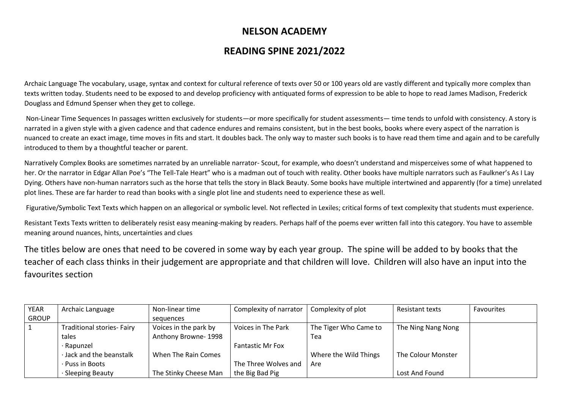## **NELSON ACADEMY**

## **READING SPINE 2021/2022**

Archaic Language The vocabulary, usage, syntax and context for cultural reference of texts over 50 or 100 years old are vastly different and typically more complex than texts written today. Students need to be exposed to and develop proficiency with antiquated forms of expression to be able to hope to read James Madison, Frederick Douglass and Edmund Spenser when they get to college.

Non-Linear Time Sequences In passages written exclusively for students—or more specifically for student assessments— time tends to unfold with consistency. A story is narrated in a given style with a given cadence and that cadence endures and remains consistent, but in the best books, books where every aspect of the narration is nuanced to create an exact image, time moves in fits and start. It doubles back. The only way to master such books is to have read them time and again and to be carefully introduced to them by a thoughtful teacher or parent.

Narratively Complex Books are sometimes narrated by an unreliable narrator- Scout, for example, who doesn't understand and misperceives some of what happened to her. Or the narrator in Edgar Allan Poe's "The Tell-Tale Heart" who is a madman out of touch with reality. Other books have multiple narrators such as Faulkner's As I Lay Dying. Others have non-human narrators such as the horse that tells the story in Black Beauty. Some books have multiple intertwined and apparently (for a time) unrelated plot lines. These are far harder to read than books with a single plot line and students need to experience these as well.

Figurative/Symbolic Text Texts which happen on an allegorical or symbolic level. Not reflected in Lexiles; critical forms of text complexity that students must experience.

Resistant Texts Texts written to deliberately resist easy meaning-making by readers. Perhaps half of the poems ever written fall into this category. You have to assemble meaning around nuances, hints, uncertainties and clues

The titles below are ones that need to be covered in some way by each year group. The spine will be added to by books that the teacher of each class thinks in their judgement are appropriate and that children will love. Children will also have an input into the favourites section

| <b>YEAR</b>  | Archaic Language                  | Non-linear time       | Complexity of narrator  | Complexity of plot    | <b>Resistant texts</b> | Favourites |
|--------------|-----------------------------------|-----------------------|-------------------------|-----------------------|------------------------|------------|
| <b>GROUP</b> |                                   | sequences             |                         |                       |                        |            |
|              | <b>Traditional stories- Fairy</b> | Voices in the park by | Voices in The Park      | The Tiger Who Came to | The Ning Nang Nong     |            |
|              | tales                             | Anthony Browne-1998   |                         | Tea                   |                        |            |
|              | · Rapunzel                        |                       | <b>Fantastic Mr Fox</b> |                       |                        |            |
|              | · Jack and the beanstalk          | When The Rain Comes   |                         | Where the Wild Things | The Colour Monster     |            |
|              | · Puss in Boots                   |                       | The Three Wolves and    | Are                   |                        |            |
|              | <b>Sleeping Beauty</b>            | The Stinky Cheese Man | the Big Bad Pig         |                       | Lost And Found         |            |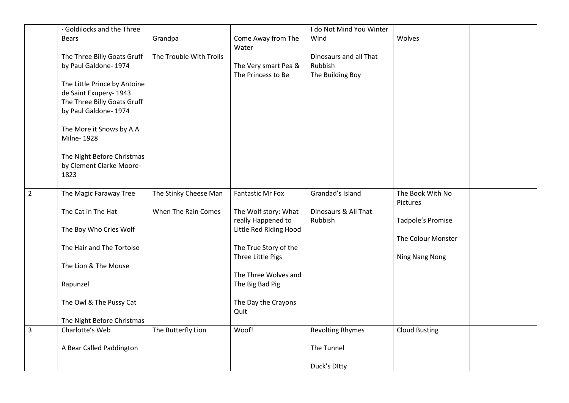|                | · Goldilocks and the Three   |                         |                                            | I do Not Mind You Winter        |                      |  |
|----------------|------------------------------|-------------------------|--------------------------------------------|---------------------------------|----------------------|--|
|                | <b>Bears</b>                 | Grandpa                 | Come Away from The                         | Wind                            | Wolves               |  |
|                |                              |                         | Water                                      |                                 |                      |  |
|                | The Three Billy Goats Gruff  | The Trouble With Trolls |                                            | Dinosaurs and all That          |                      |  |
|                | by Paul Galdone- 1974        |                         | The Very smart Pea &                       | Rubbish                         |                      |  |
|                | The Little Prince by Antoine |                         | The Princess to Be                         | The Building Boy                |                      |  |
|                | de Saint Exupery- 1943       |                         |                                            |                                 |                      |  |
|                | The Three Billy Goats Gruff  |                         |                                            |                                 |                      |  |
|                | by Paul Galdone- 1974        |                         |                                            |                                 |                      |  |
|                | The More it Snows by A.A     |                         |                                            |                                 |                      |  |
|                | Milne-1928                   |                         |                                            |                                 |                      |  |
|                | The Night Before Christmas   |                         |                                            |                                 |                      |  |
|                | by Clement Clarke Moore-     |                         |                                            |                                 |                      |  |
|                | 1823                         |                         |                                            |                                 |                      |  |
| $\overline{2}$ | The Magic Faraway Tree       | The Stinky Cheese Man   | <b>Fantastic Mr Fox</b>                    | Grandad's Island                | The Book With No     |  |
|                |                              |                         |                                            |                                 | Pictures             |  |
|                | The Cat in The Hat           | When The Rain Comes     | The Wolf story: What<br>really Happened to | Dinosaurs & All That<br>Rubbish | Tadpole's Promise    |  |
|                | The Boy Who Cries Wolf       |                         | Little Red Riding Hood                     |                                 |                      |  |
|                |                              |                         |                                            |                                 | The Colour Monster   |  |
|                | The Hair and The Tortoise    |                         | The True Story of the                      |                                 |                      |  |
|                |                              |                         | Three Little Pigs                          |                                 | Ning Nang Nong       |  |
|                | The Lion & The Mouse         |                         |                                            |                                 |                      |  |
|                |                              |                         | The Three Wolves and                       |                                 |                      |  |
|                | Rapunzel                     |                         | The Big Bad Pig                            |                                 |                      |  |
|                | The Owl & The Pussy Cat      |                         | The Day the Crayons                        |                                 |                      |  |
|                |                              |                         | Quit                                       |                                 |                      |  |
|                | The Night Before Christmas   |                         |                                            |                                 |                      |  |
| $\overline{3}$ | Charlotte's Web              | The Butterfly Lion      | Woof!                                      | <b>Revolting Rhymes</b>         | <b>Cloud Busting</b> |  |
|                | A Bear Called Paddington     |                         |                                            | The Tunnel                      |                      |  |
|                |                              |                         |                                            |                                 |                      |  |
|                |                              |                         |                                            | Duck's Ditty                    |                      |  |